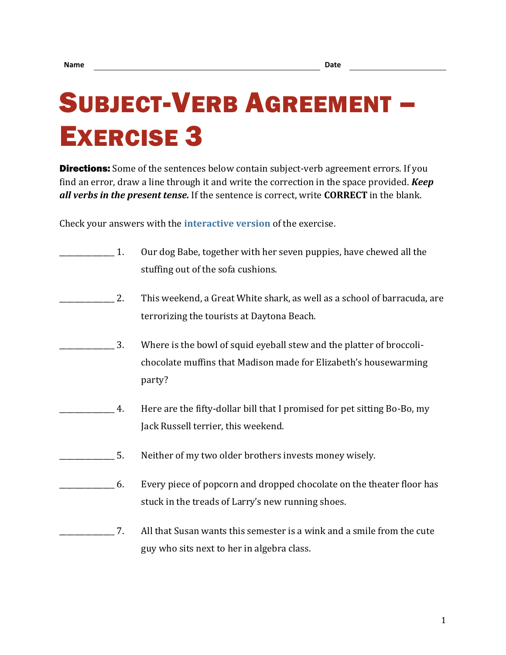## SUBJECT-VERB AGREEMENT – EXERCISE 3

**Directions:** Some of the sentences below contain subject-verb agreement errors. If you find an error, draw a line through it and write the correction in the space provided. *Keep all verbs in the present tense.* If the sentence is correct, write **CORRECT** in the blank.

Check your answers with the **[interactive version](https://chompchomp.com/hotpotatoes/sva03.htm)** of the exercise.

| 1. | Our dog Babe, together with her seven puppies, have chewed all the<br>stuffing out of the sofa cushions.                                           |
|----|----------------------------------------------------------------------------------------------------------------------------------------------------|
| 2. | This weekend, a Great White shark, as well as a school of barracuda, are<br>terrorizing the tourists at Daytona Beach.                             |
| 3. | Where is the bowl of squid eyeball stew and the platter of broccoli-<br>chocolate muffins that Madison made for Elizabeth's housewarming<br>party? |
| 4. | Here are the fifty-dollar bill that I promised for pet sitting Bo-Bo, my<br>Jack Russell terrier, this weekend.                                    |
| 5. | Neither of my two older brothers invests money wisely.                                                                                             |
| 6. | Every piece of popcorn and dropped chocolate on the theater floor has<br>stuck in the treads of Larry's new running shoes.                         |
| 7. | All that Susan wants this semester is a wink and a smile from the cute<br>guy who sits next to her in algebra class.                               |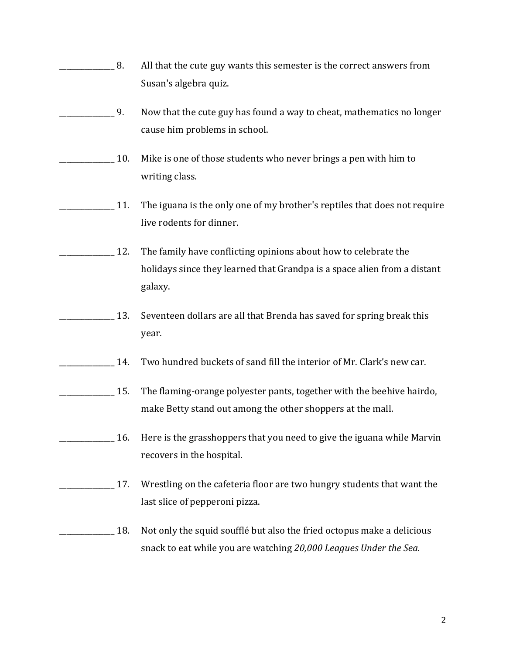| 8.  | All that the cute guy wants this semester is the correct answers from<br>Susan's algebra quiz.                                                         |
|-----|--------------------------------------------------------------------------------------------------------------------------------------------------------|
| 9.  | Now that the cute guy has found a way to cheat, mathematics no longer<br>cause him problems in school.                                                 |
| 10. | Mike is one of those students who never brings a pen with him to<br>writing class.                                                                     |
| 11. | The iguana is the only one of my brother's reptiles that does not require<br>live rodents for dinner.                                                  |
| 12. | The family have conflicting opinions about how to celebrate the<br>holidays since they learned that Grandpa is a space alien from a distant<br>galaxy. |
| 13. | Seventeen dollars are all that Brenda has saved for spring break this<br>year.                                                                         |
| 14. | Two hundred buckets of sand fill the interior of Mr. Clark's new car.                                                                                  |
| 15. | The flaming-orange polyester pants, together with the beehive hairdo,<br>make Betty stand out among the other shoppers at the mall.                    |
| 16. | Here is the grasshoppers that you need to give the iguana while Marvin<br>recovers in the hospital.                                                    |
| 17. | Wrestling on the cafeteria floor are two hungry students that want the<br>last slice of pepperoni pizza.                                               |
| 18. | Not only the squid soufflé but also the fried octopus make a delicious<br>snack to eat while you are watching 20,000 Leagues Under the Sea.            |